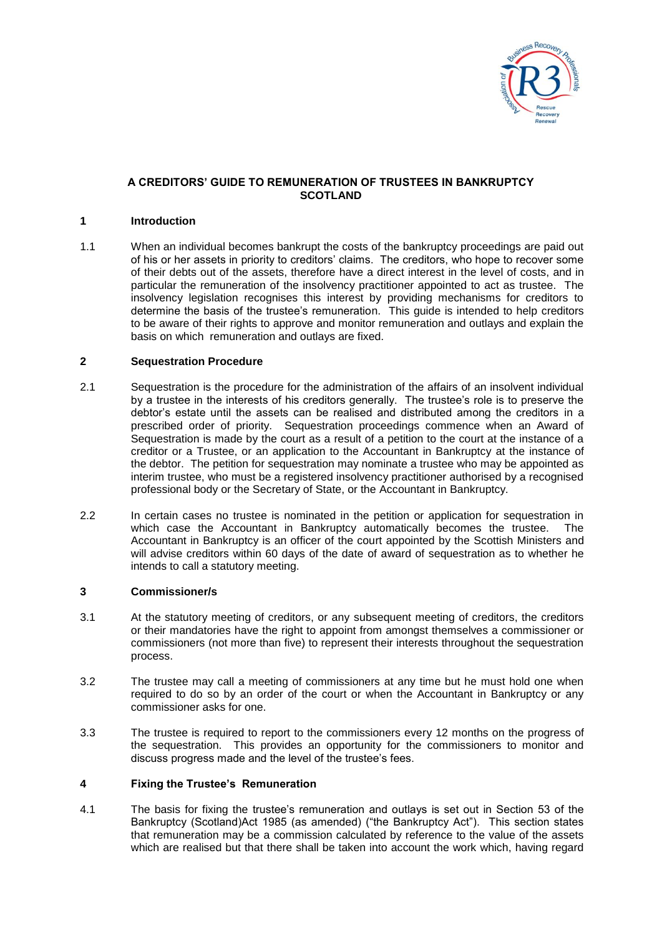

## **A CREDITORS' GUIDE TO REMUNERATION OF TRUSTEES IN BANKRUPTCY SCOTLAND**

#### **1 Introduction**

1.1 When an individual becomes bankrupt the costs of the bankruptcy proceedings are paid out of his or her assets in priority to creditors' claims. The creditors, who hope to recover some of their debts out of the assets, therefore have a direct interest in the level of costs, and in particular the remuneration of the insolvency practitioner appointed to act as trustee. The insolvency legislation recognises this interest by providing mechanisms for creditors to determine the basis of the trustee's remuneration. This guide is intended to help creditors to be aware of their rights to approve and monitor remuneration and outlays and explain the basis on which remuneration and outlays are fixed.

#### **2 Sequestration Procedure**

- 2.1 Sequestration is the procedure for the administration of the affairs of an insolvent individual by a trustee in the interests of his creditors generally. The trustee's role is to preserve the debtor's estate until the assets can be realised and distributed among the creditors in a prescribed order of priority. Sequestration proceedings commence when an Award of Sequestration is made by the court as a result of a petition to the court at the instance of a creditor or a Trustee, or an application to the Accountant in Bankruptcy at the instance of the debtor. The petition for sequestration may nominate a trustee who may be appointed as interim trustee, who must be a registered insolvency practitioner authorised by a recognised professional body or the Secretary of State, or the Accountant in Bankruptcy.
- 2.2 In certain cases no trustee is nominated in the petition or application for sequestration in which case the Accountant in Bankruptcy automatically becomes the trustee. The Accountant in Bankruptcy is an officer of the court appointed by the Scottish Ministers and will advise creditors within 60 days of the date of award of sequestration as to whether he intends to call a statutory meeting.

### **3 Commissioner/s**

- 3.1 At the statutory meeting of creditors, or any subsequent meeting of creditors, the creditors or their mandatories have the right to appoint from amongst themselves a commissioner or commissioners (not more than five) to represent their interests throughout the sequestration process.
- 3.2 The trustee may call a meeting of commissioners at any time but he must hold one when required to do so by an order of the court or when the Accountant in Bankruptcy or any commissioner asks for one.
- 3.3 The trustee is required to report to the commissioners every 12 months on the progress of the sequestration. This provides an opportunity for the commissioners to monitor and discuss progress made and the level of the trustee's fees.

## **4 Fixing the Trustee's Remuneration**

4.1 The basis for fixing the trustee's remuneration and outlays is set out in Section 53 of the Bankruptcy (Scotland)Act 1985 (as amended) ("the Bankruptcy Act"). This section states that remuneration may be a commission calculated by reference to the value of the assets which are realised but that there shall be taken into account the work which, having regard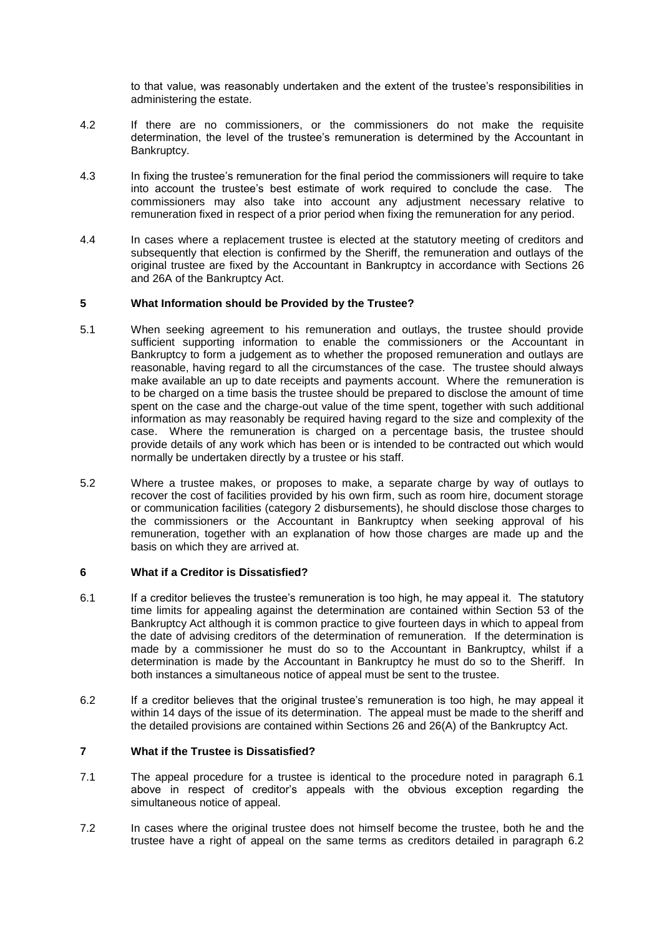to that value, was reasonably undertaken and the extent of the trustee's responsibilities in administering the estate.

- 4.2 If there are no commissioners, or the commissioners do not make the requisite determination, the level of the trustee's remuneration is determined by the Accountant in Bankruptcy.
- 4.3 In fixing the trustee's remuneration for the final period the commissioners will require to take into account the trustee's best estimate of work required to conclude the case. The commissioners may also take into account any adjustment necessary relative to remuneration fixed in respect of a prior period when fixing the remuneration for any period.
- 4.4 In cases where a replacement trustee is elected at the statutory meeting of creditors and subsequently that election is confirmed by the Sheriff, the remuneration and outlays of the original trustee are fixed by the Accountant in Bankruptcy in accordance with Sections 26 and 26A of the Bankruptcy Act.

#### **5 What Information should be Provided by the Trustee?**

- 5.1 When seeking agreement to his remuneration and outlays, the trustee should provide sufficient supporting information to enable the commissioners or the Accountant in Bankruptcy to form a judgement as to whether the proposed remuneration and outlays are reasonable, having regard to all the circumstances of the case. The trustee should always make available an up to date receipts and payments account. Where the remuneration is to be charged on a time basis the trustee should be prepared to disclose the amount of time spent on the case and the charge-out value of the time spent, together with such additional information as may reasonably be required having regard to the size and complexity of the case. Where the remuneration is charged on a percentage basis, the trustee should provide details of any work which has been or is intended to be contracted out which would normally be undertaken directly by a trustee or his staff.
- 5.2 Where a trustee makes, or proposes to make, a separate charge by way of outlays to recover the cost of facilities provided by his own firm, such as room hire, document storage or communication facilities (category 2 disbursements), he should disclose those charges to the commissioners or the Accountant in Bankruptcy when seeking approval of his remuneration, together with an explanation of how those charges are made up and the basis on which they are arrived at.

#### **6 What if a Creditor is Dissatisfied?**

- 6.1 If a creditor believes the trustee's remuneration is too high, he may appeal it. The statutory time limits for appealing against the determination are contained within Section 53 of the Bankruptcy Act although it is common practice to give fourteen days in which to appeal from the date of advising creditors of the determination of remuneration. If the determination is made by a commissioner he must do so to the Accountant in Bankruptcy, whilst if a determination is made by the Accountant in Bankruptcy he must do so to the Sheriff. In both instances a simultaneous notice of appeal must be sent to the trustee.
- 6.2 If a creditor believes that the original trustee's remuneration is too high, he may appeal it within 14 days of the issue of its determination. The appeal must be made to the sheriff and the detailed provisions are contained within Sections 26 and 26(A) of the Bankruptcy Act.

# **7 What if the Trustee is Dissatisfied?**

- 7.1 The appeal procedure for a trustee is identical to the procedure noted in paragraph 6.1 above in respect of creditor's appeals with the obvious exception regarding the simultaneous notice of appeal.
- 7.2 In cases where the original trustee does not himself become the trustee, both he and the trustee have a right of appeal on the same terms as creditors detailed in paragraph 6.2